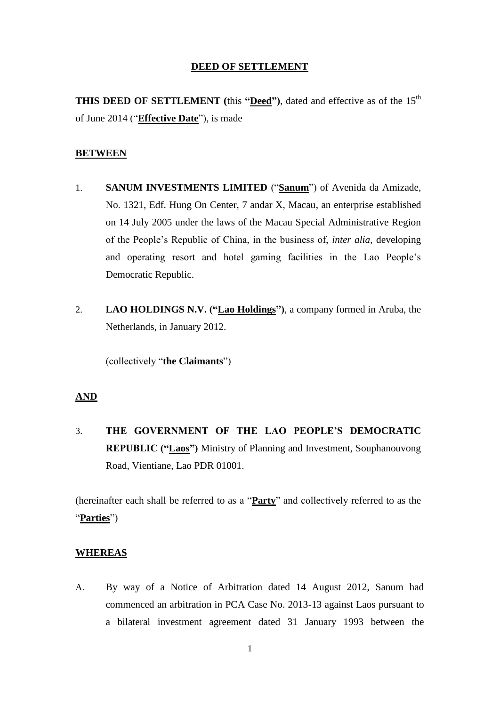#### **DEED OF SETTLEMENT**

**THIS DEED OF SETTLEMENT** (this "Deed"), dated and effective as of the 15<sup>th</sup> of June 2014 ("**Effective Date**"), is made

#### **BETWEEN**

- 1. **SANUM INVESTMENTS LIMITED** ("**Sanum**") of Avenida da Amizade, No. 1321, Edf. Hung On Center, 7 andar X, Macau, an enterprise established on 14 July 2005 under the laws of the Macau Special Administrative Region of the People's Republic of China, in the business of, *inter alia*, developing and operating resort and hotel gaming facilities in the Lao People's Democratic Republic.
- 2. **LAO HOLDINGS N.V. ("Lao Holdings")**, a company formed in Aruba, the Netherlands, in January 2012.

(collectively "**the Claimants**")

#### **AND**

3. **THE GOVERNMENT OF THE LAO PEOPLE'S DEMOCRATIC REPUBLIC ("Laos")** Ministry of Planning and Investment, Souphanouvong Road, Vientiane, Lao PDR 01001.

(hereinafter each shall be referred to as a "**Party**" and collectively referred to as the "**Parties**")

#### **WHEREAS**

A. By way of a Notice of Arbitration dated 14 August 2012, Sanum had commenced an arbitration in PCA Case No. 2013-13 against Laos pursuant to a bilateral investment agreement dated 31 January 1993 between the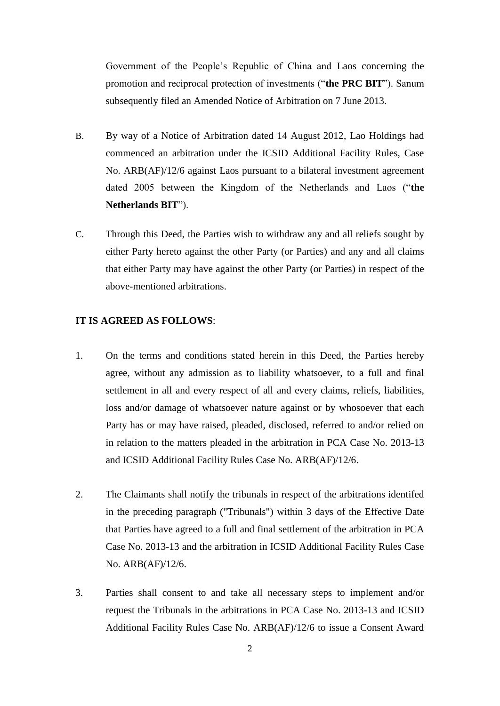Government of the People's Republic of China and Laos concerning the promotion and reciprocal protection of investments ("**the PRC BIT**"). Sanum subsequently filed an Amended Notice of Arbitration on 7 June 2013.

- B. By way of a Notice of Arbitration dated 14 August 2012, Lao Holdings had commenced an arbitration under the ICSID Additional Facility Rules, Case No. ARB(AF)/12/6 against Laos pursuant to a bilateral investment agreement dated 2005 between the Kingdom of the Netherlands and Laos ("**the Netherlands BIT**").
- C. Through this Deed, the Parties wish to withdraw any and all reliefs sought by either Party hereto against the other Party (or Parties) and any and all claims that either Party may have against the other Party (or Parties) in respect of the above-mentioned arbitrations.

## **IT IS AGREED AS FOLLOWS**:

- 1. On the terms and conditions stated herein in this Deed, the Parties hereby agree, without any admission as to liability whatsoever, to a full and final settlement in all and every respect of all and every claims, reliefs, liabilities, loss and/or damage of whatsoever nature against or by whosoever that each Party has or may have raised, pleaded, disclosed, referred to and/or relied on in relation to the matters pleaded in the arbitration in PCA Case No. 2013-13 and ICSID Additional Facility Rules Case No. ARB(AF)/12/6.
- 2. The Claimants shall notify the tribunals in respect of the arbitrations identifed in the preceding paragraph ("Tribunals") within 3 days of the Effective Date that Parties have agreed to a full and final settlement of the arbitration in PCA Case No. 2013-13 and the arbitration in ICSID Additional Facility Rules Case No. ARB(AF)/12/6.
- 3. Parties shall consent to and take all necessary steps to implement and/or request the Tribunals in the arbitrations in PCA Case No. 2013-13 and ICSID Additional Facility Rules Case No. ARB(AF)/12/6 to issue a Consent Award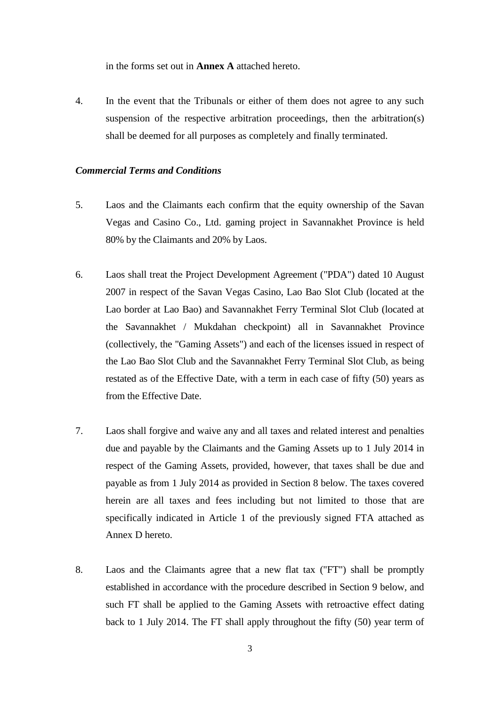in the forms set out in **Annex A** attached hereto.

4. In the event that the Tribunals or either of them does not agree to any such suspension of the respective arbitration proceedings, then the arbitration(s) shall be deemed for all purposes as completely and finally terminated.

## *Commercial Terms and Conditions*

- 5. Laos and the Claimants each confirm that the equity ownership of the Savan Vegas and Casino Co., Ltd. gaming project in Savannakhet Province is held 80% by the Claimants and 20% by Laos.
- 6. Laos shall treat the Project Development Agreement ("PDA") dated 10 August 2007 in respect of the Savan Vegas Casino, Lao Bao Slot Club (located at the Lao border at Lao Bao) and Savannakhet Ferry Terminal Slot Club (located at the Savannakhet / Mukdahan checkpoint) all in Savannakhet Province (collectively, the "Gaming Assets") and each of the licenses issued in respect of the Lao Bao Slot Club and the Savannakhet Ferry Terminal Slot Club, as being restated as of the Effective Date, with a term in each case of fifty (50) years as from the Effective Date.
- 7. Laos shall forgive and waive any and all taxes and related interest and penalties due and payable by the Claimants and the Gaming Assets up to 1 July 2014 in respect of the Gaming Assets, provided, however, that taxes shall be due and payable as from 1 July 2014 as provided in Section 8 below. The taxes covered herein are all taxes and fees including but not limited to those that are specifically indicated in Article 1 of the previously signed FTA attached as Annex D hereto.
- 8. Laos and the Claimants agree that a new flat tax ("FT") shall be promptly established in accordance with the procedure described in Section 9 below, and such FT shall be applied to the Gaming Assets with retroactive effect dating back to 1 July 2014. The FT shall apply throughout the fifty (50) year term of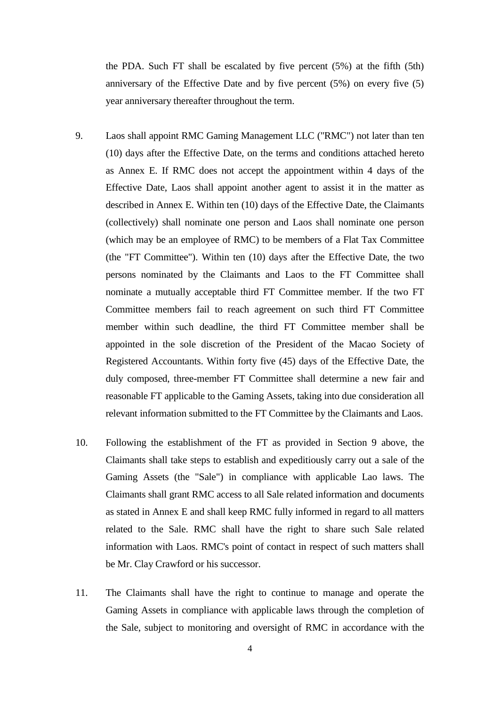the PDA. Such FT shall be escalated by five percent (5%) at the fifth (5th) anniversary of the Effective Date and by five percent (5%) on every five (5) year anniversary thereafter throughout the term.

- 9. Laos shall appoint RMC Gaming Management LLC ("RMC") not later than ten (10) days after the Effective Date, on the terms and conditions attached hereto as Annex E. If RMC does not accept the appointment within 4 days of the Effective Date, Laos shall appoint another agent to assist it in the matter as described in Annex E. Within ten (10) days of the Effective Date, the Claimants (collectively) shall nominate one person and Laos shall nominate one person (which may be an employee of RMC) to be members of a Flat Tax Committee (the "FT Committee"). Within ten (10) days after the Effective Date, the two persons nominated by the Claimants and Laos to the FT Committee shall nominate a mutually acceptable third FT Committee member. If the two FT Committee members fail to reach agreement on such third FT Committee member within such deadline, the third FT Committee member shall be appointed in the sole discretion of the President of the Macao Society of Registered Accountants. Within forty five (45) days of the Effective Date, the duly composed, three-member FT Committee shall determine a new fair and reasonable FT applicable to the Gaming Assets, taking into due consideration all relevant information submitted to the FT Committee by the Claimants and Laos.
- 10. Following the establishment of the FT as provided in Section 9 above, the Claimants shall take steps to establish and expeditiously carry out a sale of the Gaming Assets (the "Sale") in compliance with applicable Lao laws. The Claimants shall grant RMC access to all Sale related information and documents as stated in Annex E and shall keep RMC fully informed in regard to all matters related to the Sale. RMC shall have the right to share such Sale related information with Laos. RMC's point of contact in respect of such matters shall be Mr. Clay Crawford or his successor.
- 11. The Claimants shall have the right to continue to manage and operate the Gaming Assets in compliance with applicable laws through the completion of the Sale, subject to monitoring and oversight of RMC in accordance with the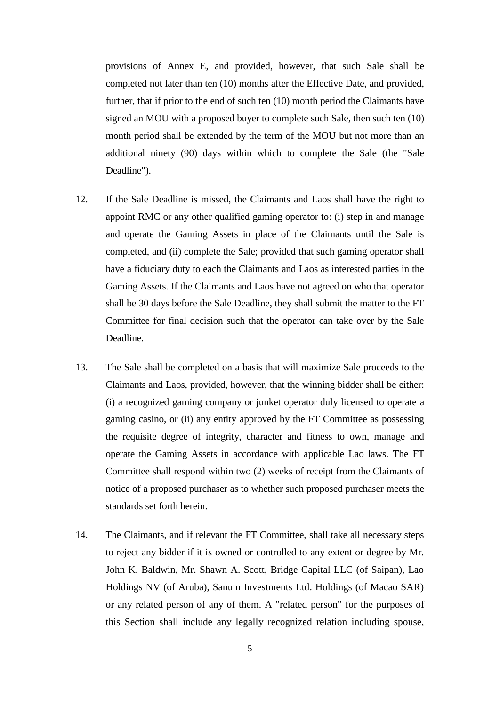provisions of Annex E, and provided, however, that such Sale shall be completed not later than ten (10) months after the Effective Date, and provided, further, that if prior to the end of such ten (10) month period the Claimants have signed an MOU with a proposed buyer to complete such Sale, then such ten (10) month period shall be extended by the term of the MOU but not more than an additional ninety (90) days within which to complete the Sale (the "Sale Deadline").

- 12. If the Sale Deadline is missed, the Claimants and Laos shall have the right to appoint RMC or any other qualified gaming operator to: (i) step in and manage and operate the Gaming Assets in place of the Claimants until the Sale is completed, and (ii) complete the Sale; provided that such gaming operator shall have a fiduciary duty to each the Claimants and Laos as interested parties in the Gaming Assets. If the Claimants and Laos have not agreed on who that operator shall be 30 days before the Sale Deadline, they shall submit the matter to the FT Committee for final decision such that the operator can take over by the Sale Deadline.
- 13. The Sale shall be completed on a basis that will maximize Sale proceeds to the Claimants and Laos, provided, however, that the winning bidder shall be either: (i) a recognized gaming company or junket operator duly licensed to operate a gaming casino, or (ii) any entity approved by the FT Committee as possessing the requisite degree of integrity, character and fitness to own, manage and operate the Gaming Assets in accordance with applicable Lao laws. The FT Committee shall respond within two (2) weeks of receipt from the Claimants of notice of a proposed purchaser as to whether such proposed purchaser meets the standards set forth herein.
- 14. The Claimants, and if relevant the FT Committee, shall take all necessary steps to reject any bidder if it is owned or controlled to any extent or degree by Mr. John K. Baldwin, Mr. Shawn A. Scott, Bridge Capital LLC (of Saipan), Lao Holdings NV (of Aruba), Sanum Investments Ltd. Holdings (of Macao SAR) or any related person of any of them. A "related person" for the purposes of this Section shall include any legally recognized relation including spouse,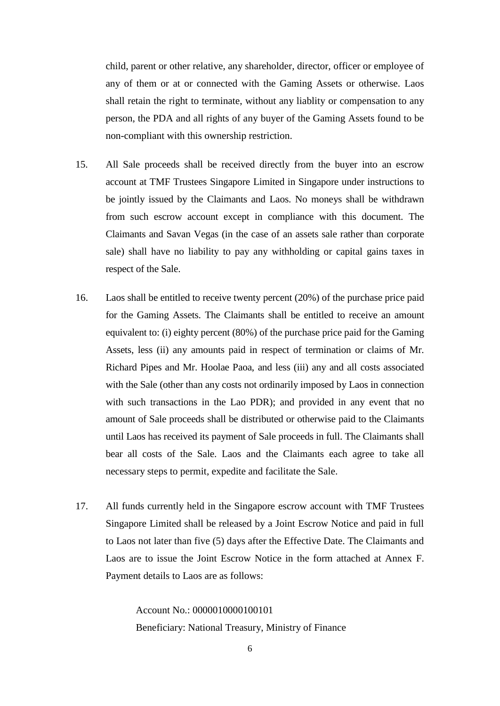child, parent or other relative, any shareholder, director, officer or employee of any of them or at or connected with the Gaming Assets or otherwise. Laos shall retain the right to terminate, without any liablity or compensation to any person, the PDA and all rights of any buyer of the Gaming Assets found to be non-compliant with this ownership restriction.

- 15. All Sale proceeds shall be received directly from the buyer into an escrow account at TMF Trustees Singapore Limited in Singapore under instructions to be jointly issued by the Claimants and Laos. No moneys shall be withdrawn from such escrow account except in compliance with this document. The Claimants and Savan Vegas (in the case of an assets sale rather than corporate sale) shall have no liability to pay any withholding or capital gains taxes in respect of the Sale.
- 16. Laos shall be entitled to receive twenty percent (20%) of the purchase price paid for the Gaming Assets. The Claimants shall be entitled to receive an amount equivalent to: (i) eighty percent (80%) of the purchase price paid for the Gaming Assets, less (ii) any amounts paid in respect of termination or claims of Mr. Richard Pipes and Mr. Hoolae Paoa, and less (iii) any and all costs associated with the Sale (other than any costs not ordinarily imposed by Laos in connection with such transactions in the Lao PDR); and provided in any event that no amount of Sale proceeds shall be distributed or otherwise paid to the Claimants until Laos has received its payment of Sale proceeds in full. The Claimants shall bear all costs of the Sale. Laos and the Claimants each agree to take all necessary steps to permit, expedite and facilitate the Sale.
- 17. All funds currently held in the Singapore escrow account with TMF Trustees Singapore Limited shall be released by a Joint Escrow Notice and paid in full to Laos not later than five (5) days after the Effective Date. The Claimants and Laos are to issue the Joint Escrow Notice in the form attached at Annex F. Payment details to Laos are as follows:

Account No.: 0000010000100101 Beneficiary: National Treasury, Ministry of Finance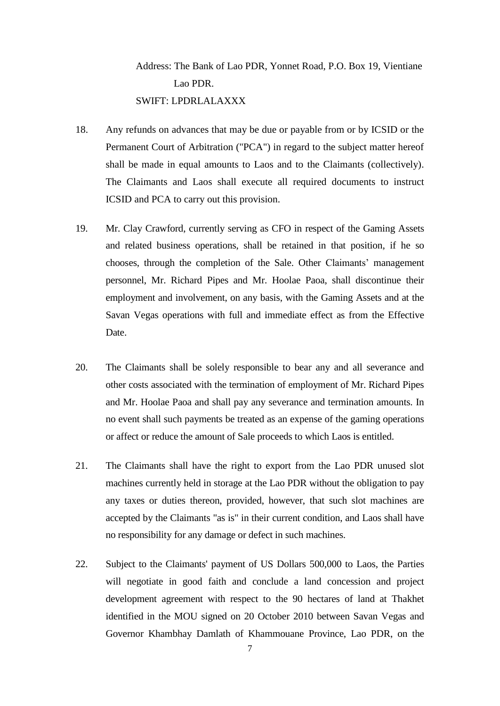## Address: The Bank of Lao PDR, Yonnet Road, P.O. Box 19, Vientiane Lao PDR. SWIFT: LPDRLALAXXX

- 18. Any refunds on advances that may be due or payable from or by ICSID or the Permanent Court of Arbitration ("PCA") in regard to the subject matter hereof shall be made in equal amounts to Laos and to the Claimants (collectively). The Claimants and Laos shall execute all required documents to instruct ICSID and PCA to carry out this provision.
- 19. Mr. Clay Crawford, currently serving as CFO in respect of the Gaming Assets and related business operations, shall be retained in that position, if he so chooses, through the completion of the Sale. Other Claimants' management personnel, Mr. Richard Pipes and Mr. Hoolae Paoa, shall discontinue their employment and involvement, on any basis, with the Gaming Assets and at the Savan Vegas operations with full and immediate effect as from the Effective Date.
- 20. The Claimants shall be solely responsible to bear any and all severance and other costs associated with the termination of employment of Mr. Richard Pipes and Mr. Hoolae Paoa and shall pay any severance and termination amounts. In no event shall such payments be treated as an expense of the gaming operations or affect or reduce the amount of Sale proceeds to which Laos is entitled.
- 21. The Claimants shall have the right to export from the Lao PDR unused slot machines currently held in storage at the Lao PDR without the obligation to pay any taxes or duties thereon, provided, however, that such slot machines are accepted by the Claimants "as is" in their current condition, and Laos shall have no responsibility for any damage or defect in such machines.
- 22. Subject to the Claimants' payment of US Dollars 500,000 to Laos, the Parties will negotiate in good faith and conclude a land concession and project development agreement with respect to the 90 hectares of land at Thakhet identified in the MOU signed on 20 October 2010 between Savan Vegas and Governor Khambhay Damlath of Khammouane Province, Lao PDR, on the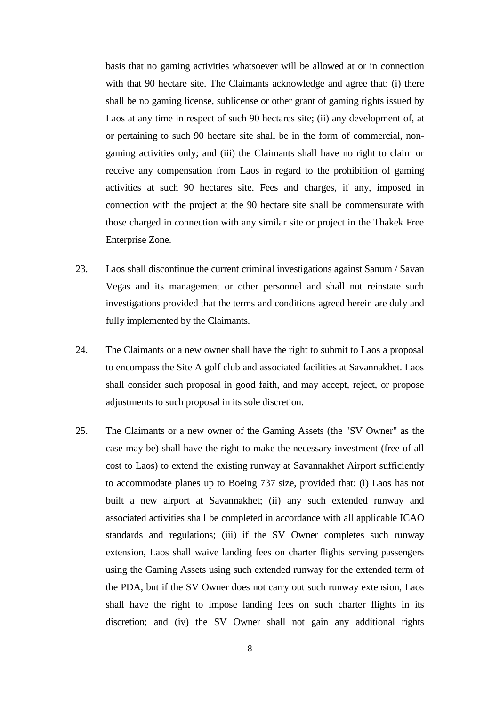basis that no gaming activities whatsoever will be allowed at or in connection with that 90 hectare site. The Claimants acknowledge and agree that: (i) there shall be no gaming license, sublicense or other grant of gaming rights issued by Laos at any time in respect of such 90 hectares site; (ii) any development of, at or pertaining to such 90 hectare site shall be in the form of commercial, nongaming activities only; and (iii) the Claimants shall have no right to claim or receive any compensation from Laos in regard to the prohibition of gaming activities at such 90 hectares site. Fees and charges, if any, imposed in connection with the project at the 90 hectare site shall be commensurate with those charged in connection with any similar site or project in the Thakek Free Enterprise Zone.

- 23. Laos shall discontinue the current criminal investigations against Sanum / Savan Vegas and its management or other personnel and shall not reinstate such investigations provided that the terms and conditions agreed herein are duly and fully implemented by the Claimants.
- 24. The Claimants or a new owner shall have the right to submit to Laos a proposal to encompass the Site A golf club and associated facilities at Savannakhet. Laos shall consider such proposal in good faith, and may accept, reject, or propose adjustments to such proposal in its sole discretion.
- 25. The Claimants or a new owner of the Gaming Assets (the "SV Owner" as the case may be) shall have the right to make the necessary investment (free of all cost to Laos) to extend the existing runway at Savannakhet Airport sufficiently to accommodate planes up to Boeing 737 size, provided that: (i) Laos has not built a new airport at Savannakhet; (ii) any such extended runway and associated activities shall be completed in accordance with all applicable ICAO standards and regulations; (iii) if the SV Owner completes such runway extension, Laos shall waive landing fees on charter flights serving passengers using the Gaming Assets using such extended runway for the extended term of the PDA, but if the SV Owner does not carry out such runway extension, Laos shall have the right to impose landing fees on such charter flights in its discretion; and (iv) the SV Owner shall not gain any additional rights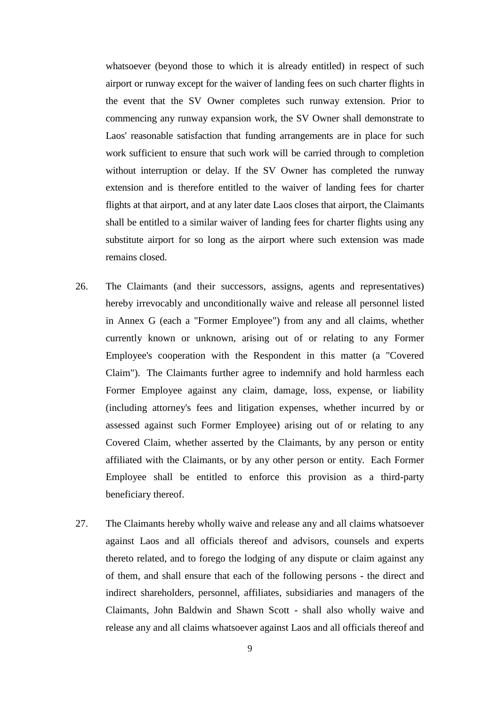whatsoever (beyond those to which it is already entitled) in respect of such airport or runway except for the waiver of landing fees on such charter flights in the event that the SV Owner completes such runway extension. Prior to commencing any runway expansion work, the SV Owner shall demonstrate to Laos' reasonable satisfaction that funding arrangements are in place for such work sufficient to ensure that such work will be carried through to completion without interruption or delay. If the SV Owner has completed the runway extension and is therefore entitled to the waiver of landing fees for charter flights at that airport, and at any later date Laos closes that airport, the Claimants shall be entitled to a similar waiver of landing fees for charter flights using any substitute airport for so long as the airport where such extension was made remains closed.

- 26. The Claimants (and their successors, assigns, agents and representatives) hereby irrevocably and unconditionally waive and release all personnel listed in Annex G (each a "Former Employee") from any and all claims, whether currently known or unknown, arising out of or relating to any Former Employee's cooperation with the Respondent in this matter (a "Covered Claim"). The Claimants further agree to indemnify and hold harmless each Former Employee against any claim, damage, loss, expense, or liability (including attorney's fees and litigation expenses, whether incurred by or assessed against such Former Employee) arising out of or relating to any Covered Claim, whether asserted by the Claimants, by any person or entity affiliated with the Claimants, or by any other person or entity. Each Former Employee shall be entitled to enforce this provision as a third-party beneficiary thereof.
- 27. The Claimants hereby wholly waive and release any and all claims whatsoever against Laos and all officials thereof and advisors, counsels and experts thereto related, and to forego the lodging of any dispute or claim against any of them, and shall ensure that each of the following persons - the direct and indirect shareholders, personnel, affiliates, subsidiaries and managers of the Claimants, John Baldwin and Shawn Scott - shall also wholly waive and release any and all claims whatsoever against Laos and all officials thereof and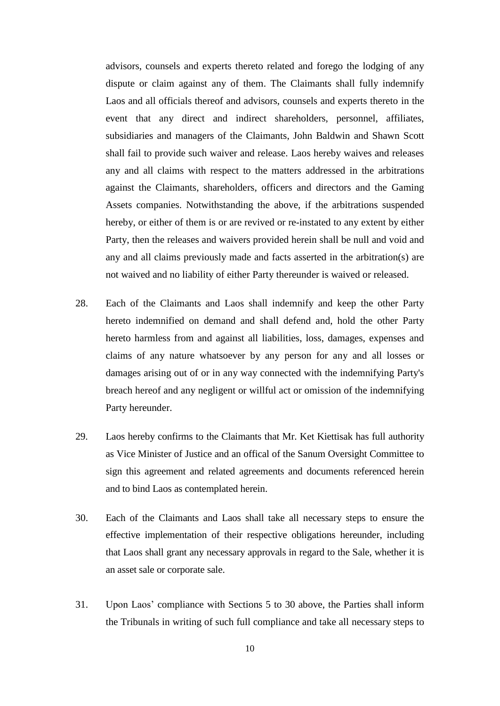advisors, counsels and experts thereto related and forego the lodging of any dispute or claim against any of them. The Claimants shall fully indemnify Laos and all officials thereof and advisors, counsels and experts thereto in the event that any direct and indirect shareholders, personnel, affiliates, subsidiaries and managers of the Claimants, John Baldwin and Shawn Scott shall fail to provide such waiver and release. Laos hereby waives and releases any and all claims with respect to the matters addressed in the arbitrations against the Claimants, shareholders, officers and directors and the Gaming Assets companies. Notwithstanding the above, if the arbitrations suspended hereby, or either of them is or are revived or re-instated to any extent by either Party, then the releases and waivers provided herein shall be null and void and any and all claims previously made and facts asserted in the arbitration(s) are not waived and no liability of either Party thereunder is waived or released.

- 28. Each of the Claimants and Laos shall indemnify and keep the other Party hereto indemnified on demand and shall defend and, hold the other Party hereto harmless from and against all liabilities, loss, damages, expenses and claims of any nature whatsoever by any person for any and all losses or damages arising out of or in any way connected with the indemnifying Party's breach hereof and any negligent or willful act or omission of the indemnifying Party hereunder.
- 29. Laos hereby confirms to the Claimants that Mr. Ket Kiettisak has full authority as Vice Minister of Justice and an offical of the Sanum Oversight Committee to sign this agreement and related agreements and documents referenced herein and to bind Laos as contemplated herein.
- 30. Each of the Claimants and Laos shall take all necessary steps to ensure the effective implementation of their respective obligations hereunder, including that Laos shall grant any necessary approvals in regard to the Sale, whether it is an asset sale or corporate sale.
- 31. Upon Laos' compliance with Sections 5 to 30 above, the Parties shall inform the Tribunals in writing of such full compliance and take all necessary steps to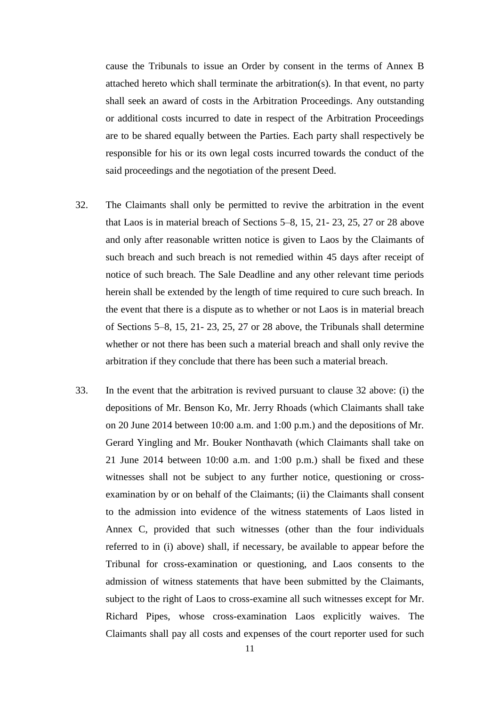cause the Tribunals to issue an Order by consent in the terms of Annex B attached hereto which shall terminate the arbitration(s). In that event, no party shall seek an award of costs in the Arbitration Proceedings. Any outstanding or additional costs incurred to date in respect of the Arbitration Proceedings are to be shared equally between the Parties. Each party shall respectively be responsible for his or its own legal costs incurred towards the conduct of the said proceedings and the negotiation of the present Deed.

- 32. The Claimants shall only be permitted to revive the arbitration in the event that Laos is in material breach of Sections 5–8, 15, 21- 23, 25, 27 or 28 above and only after reasonable written notice is given to Laos by the Claimants of such breach and such breach is not remedied within 45 days after receipt of notice of such breach. The Sale Deadline and any other relevant time periods herein shall be extended by the length of time required to cure such breach. In the event that there is a dispute as to whether or not Laos is in material breach of Sections 5–8, 15, 21- 23, 25, 27 or 28 above, the Tribunals shall determine whether or not there has been such a material breach and shall only revive the arbitration if they conclude that there has been such a material breach.
- 33. In the event that the arbitration is revived pursuant to clause 32 above: (i) the depositions of Mr. Benson Ko, Mr. Jerry Rhoads (which Claimants shall take on 20 June 2014 between 10:00 a.m. and 1:00 p.m.) and the depositions of Mr. Gerard Yingling and Mr. Bouker Nonthavath (which Claimants shall take on 21 June 2014 between 10:00 a.m. and 1:00 p.m.) shall be fixed and these witnesses shall not be subject to any further notice, questioning or crossexamination by or on behalf of the Claimants; (ii) the Claimants shall consent to the admission into evidence of the witness statements of Laos listed in Annex C, provided that such witnesses (other than the four individuals referred to in (i) above) shall, if necessary, be available to appear before the Tribunal for cross-examination or questioning, and Laos consents to the admission of witness statements that have been submitted by the Claimants, subject to the right of Laos to cross-examine all such witnesses except for Mr. Richard Pipes, whose cross-examination Laos explicitly waives. The Claimants shall pay all costs and expenses of the court reporter used for such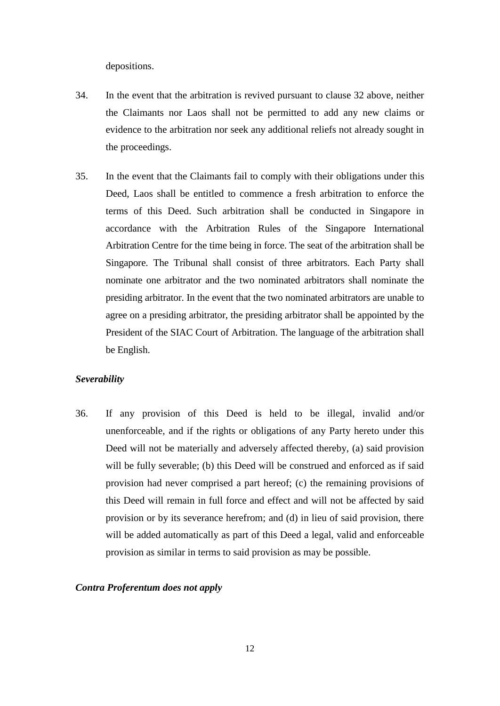depositions.

- 34. In the event that the arbitration is revived pursuant to clause 32 above, neither the Claimants nor Laos shall not be permitted to add any new claims or evidence to the arbitration nor seek any additional reliefs not already sought in the proceedings.
- 35. In the event that the Claimants fail to comply with their obligations under this Deed, Laos shall be entitled to commence a fresh arbitration to enforce the terms of this Deed. Such arbitration shall be conducted in Singapore in accordance with the Arbitration Rules of the Singapore International Arbitration Centre for the time being in force. The seat of the arbitration shall be Singapore. The Tribunal shall consist of three arbitrators. Each Party shall nominate one arbitrator and the two nominated arbitrators shall nominate the presiding arbitrator. In the event that the two nominated arbitrators are unable to agree on a presiding arbitrator, the presiding arbitrator shall be appointed by the President of the SIAC Court of Arbitration. The language of the arbitration shall be English.

#### *Severability*

36. If any provision of this Deed is held to be illegal, invalid and/or unenforceable, and if the rights or obligations of any Party hereto under this Deed will not be materially and adversely affected thereby, (a) said provision will be fully severable; (b) this Deed will be construed and enforced as if said provision had never comprised a part hereof; (c) the remaining provisions of this Deed will remain in full force and effect and will not be affected by said provision or by its severance herefrom; and (d) in lieu of said provision, there will be added automatically as part of this Deed a legal, valid and enforceable provision as similar in terms to said provision as may be possible.

#### *Contra Proferentum does not apply*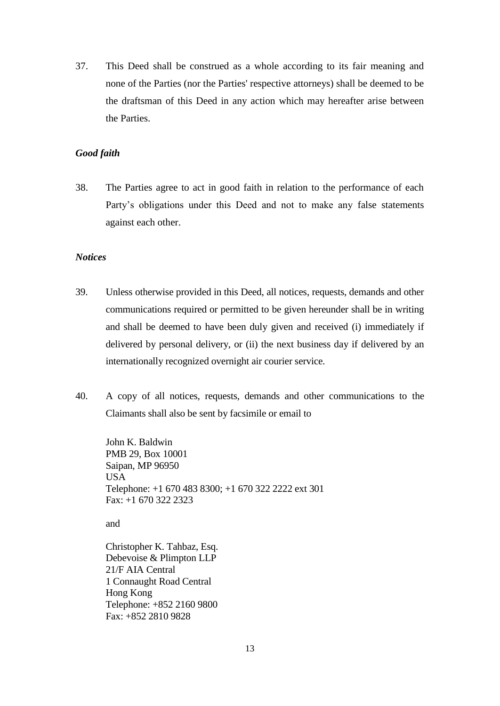37. This Deed shall be construed as a whole according to its fair meaning and none of the Parties (nor the Parties' respective attorneys) shall be deemed to be the draftsman of this Deed in any action which may hereafter arise between the Parties.

#### *Good faith*

38. The Parties agree to act in good faith in relation to the performance of each Party's obligations under this Deed and not to make any false statements against each other.

#### *Notices*

- 39. Unless otherwise provided in this Deed, all notices, requests, demands and other communications required or permitted to be given hereunder shall be in writing and shall be deemed to have been duly given and received (i) immediately if delivered by personal delivery, or (ii) the next business day if delivered by an internationally recognized overnight air courier service.
- 40. A copy of all notices, requests, demands and other communications to the Claimants shall also be sent by facsimile or email to

John K. Baldwin PMB 29, Box 10001 Saipan, MP 96950 USA Telephone: +1 670 483 8300; +1 670 322 2222 ext 301 Fax: +1 670 322 2323

and

Christopher K. Tahbaz, Esq. Debevoise & Plimpton LLP 21/F AIA Central 1 Connaught Road Central Hong Kong Telephone: +852 2160 9800 Fax: +852 2810 9828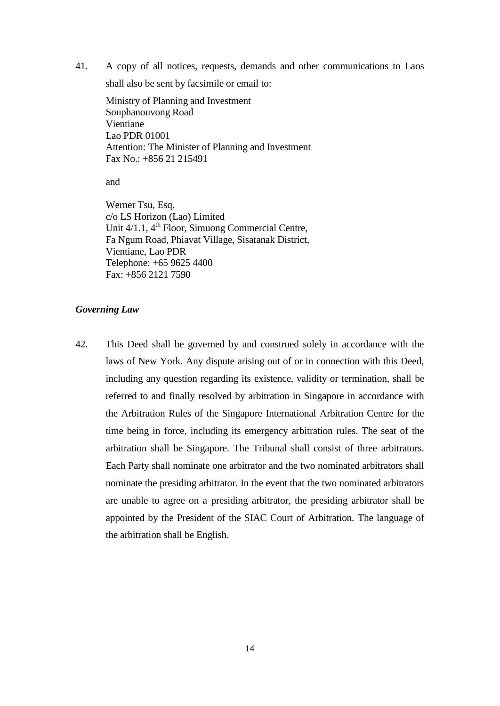41. A copy of all notices, requests, demands and other communications to Laos

shall also be sent by facsimile or email to:

Ministry of Planning and Investment Souphanouvong Road Vientiane Lao PDR 01001 Attention: The Minister of Planning and Investment Fax No.: +856 21 215491

and

Werner Tsu, Esq. c/o LS Horizon (Lao) Limited Unit  $4/1.1$ ,  $4<sup>th</sup>$  Floor, Simuong Commercial Centre, Fa Ngum Road, Phiavat Village, Sisatanak District, Vientiane, Lao PDR Telephone: +65 9625 4400 Fax: +856 2121 7590

#### *Governing Law*

42. This Deed shall be governed by and construed solely in accordance with the laws of New York. Any dispute arising out of or in connection with this Deed, including any question regarding its existence, validity or termination, shall be referred to and finally resolved by arbitration in Singapore in accordance with the Arbitration Rules of the Singapore International Arbitration Centre for the time being in force, including its emergency arbitration rules. The seat of the arbitration shall be Singapore. The Tribunal shall consist of three arbitrators. Each Party shall nominate one arbitrator and the two nominated arbitrators shall nominate the presiding arbitrator. In the event that the two nominated arbitrators are unable to agree on a presiding arbitrator, the presiding arbitrator shall be appointed by the President of the SIAC Court of Arbitration. The language of the arbitration shall be English.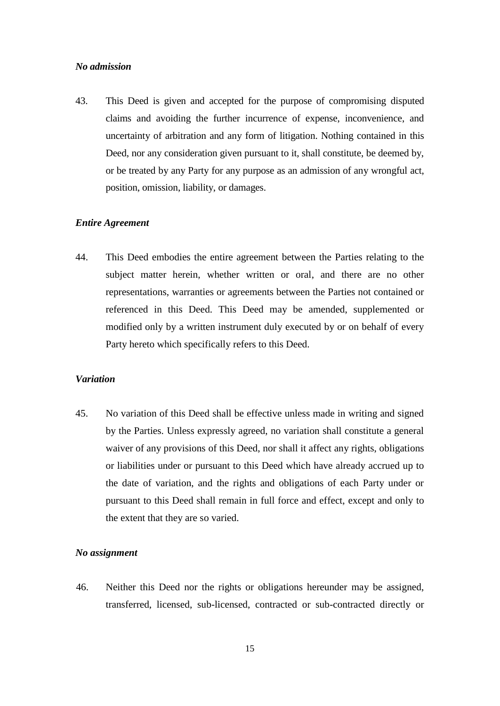#### *No admission*

43. This Deed is given and accepted for the purpose of compromising disputed claims and avoiding the further incurrence of expense, inconvenience, and uncertainty of arbitration and any form of litigation. Nothing contained in this Deed, nor any consideration given pursuant to it, shall constitute, be deemed by, or be treated by any Party for any purpose as an admission of any wrongful act, position, omission, liability, or damages.

#### *Entire Agreement*

44. This Deed embodies the entire agreement between the Parties relating to the subject matter herein, whether written or oral, and there are no other representations, warranties or agreements between the Parties not contained or referenced in this Deed. This Deed may be amended, supplemented or modified only by a written instrument duly executed by or on behalf of every Party hereto which specifically refers to this Deed.

#### *Variation*

45. No variation of this Deed shall be effective unless made in writing and signed by the Parties. Unless expressly agreed, no variation shall constitute a general waiver of any provisions of this Deed, nor shall it affect any rights, obligations or liabilities under or pursuant to this Deed which have already accrued up to the date of variation, and the rights and obligations of each Party under or pursuant to this Deed shall remain in full force and effect, except and only to the extent that they are so varied.

#### *No assignment*

46. Neither this Deed nor the rights or obligations hereunder may be assigned, transferred, licensed, sub-licensed, contracted or sub-contracted directly or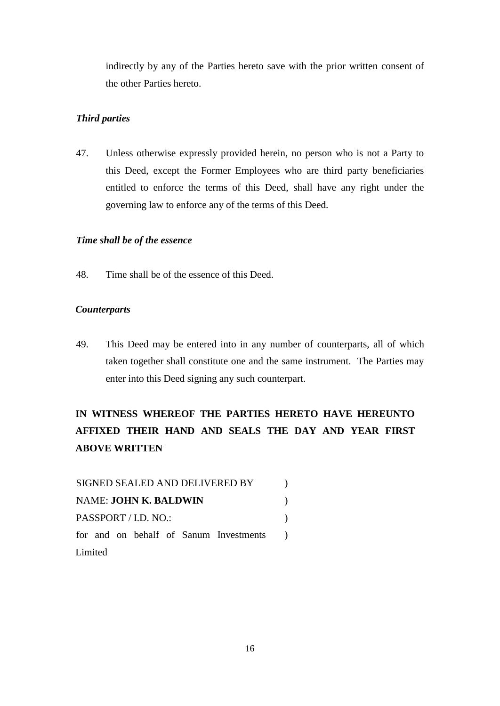indirectly by any of the Parties hereto save with the prior written consent of the other Parties hereto.

## *Third parties*

47. Unless otherwise expressly provided herein, no person who is not a Party to this Deed, except the Former Employees who are third party beneficiaries entitled to enforce the terms of this Deed, shall have any right under the governing law to enforce any of the terms of this Deed.

## *Time shall be of the essence*

48. Time shall be of the essence of this Deed.

## *Counterparts*

49. This Deed may be entered into in any number of counterparts, all of which taken together shall constitute one and the same instrument. The Parties may enter into this Deed signing any such counterpart.

# **IN WITNESS WHEREOF THE PARTIES HERETO HAVE HEREUNTO AFFIXED THEIR HAND AND SEALS THE DAY AND YEAR FIRST ABOVE WRITTEN**

| SIGNED SEALED AND DELIVERED BY         |  |
|----------------------------------------|--|
| <b>NAME: JOHN K. BALDWIN</b>           |  |
| PASSPORT / I.D. NO.:                   |  |
| for and on behalf of Sanum Investments |  |
| Limited                                |  |